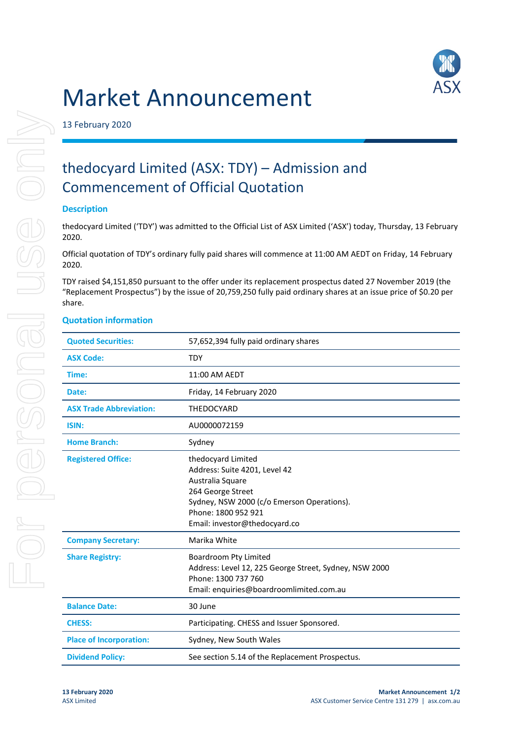# Market Announcement



13 February 2020

# thedocyard Limited (ASX: TDY) – Admission and Commencement of Official Quotation

## **Description**

thedocyard Limited ('TDY') was admitted to the Official List of ASX Limited ('ASX') today, Thursday, 13 February 2020.

Official quotation of TDY's ordinary fully paid shares will commence at 11:00 AM AEDT on Friday, 14 February 2020.

TDY raised \$4,151,850 pursuant to the offer under its replacement prospectus dated 27 November 2019 (the "Replacement Prospectus") by the issue of 20,759,250 fully paid ordinary shares at an issue price of \$0.20 per share.

### **Quotation information**

| <b>Quoted Securities:</b>      | 57,652,394 fully paid ordinary shares                                                                                                                                                              |
|--------------------------------|----------------------------------------------------------------------------------------------------------------------------------------------------------------------------------------------------|
| <b>ASX Code:</b>               | <b>TDY</b>                                                                                                                                                                                         |
| Time:                          | 11:00 AM AEDT                                                                                                                                                                                      |
| Date:                          | Friday, 14 February 2020                                                                                                                                                                           |
| <b>ASX Trade Abbreviation:</b> | <b>THEDOCYARD</b>                                                                                                                                                                                  |
| <b>ISIN:</b>                   | AU0000072159                                                                                                                                                                                       |
| <b>Home Branch:</b>            | Sydney                                                                                                                                                                                             |
| <b>Registered Office:</b>      | thedocyard Limited<br>Address: Suite 4201, Level 42<br>Australia Square<br>264 George Street<br>Sydney, NSW 2000 (c/o Emerson Operations).<br>Phone: 1800 952 921<br>Email: investor@thedocyard.co |
| <b>Company Secretary:</b>      | Marika White                                                                                                                                                                                       |
| <b>Share Registry:</b>         | Boardroom Pty Limited<br>Address: Level 12, 225 George Street, Sydney, NSW 2000<br>Phone: 1300 737 760<br>Email: enquiries@boardroomlimited.com.au                                                 |
| <b>Balance Date:</b>           | 30 June                                                                                                                                                                                            |
| <b>CHESS:</b>                  | Participating. CHESS and Issuer Sponsored.                                                                                                                                                         |
| <b>Place of Incorporation:</b> | Sydney, New South Wales                                                                                                                                                                            |
| <b>Dividend Policy:</b>        | See section 5.14 of the Replacement Prospectus.                                                                                                                                                    |